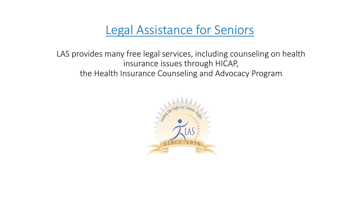### Legal Assistance for Seniors

LAS provides many free legal services, including counseling on health insurance issues through HICAP, the Health Insurance Counseling and Advocacy Program

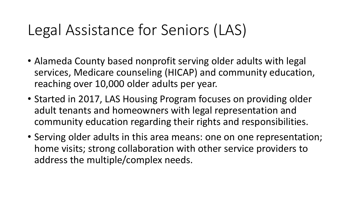### Legal Assistance for Seniors (LAS)

- Alameda County based nonprofit serving older adults with legal services, Medicare counseling (HICAP) and community education, reaching over 10,000 older adults per year.
- Started in 2017, LAS Housing Program focuses on providing older adult tenants and homeowners with legal representation and community education regarding their rights and responsibilities.
- Serving older adults in this area means: one on one representation; home visits; strong collaboration with other service providers to address the multiple/complex needs.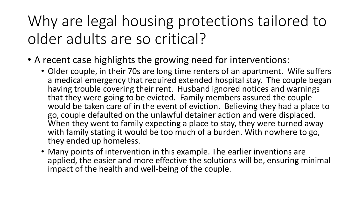## Why are legal housing protections tailored to older adults are so critical?

- A recent case highlights the growing need for interventions:
	- Older couple, in their 70s are long time renters of an apartment. Wife suffers a medical emergency that required extended hospital stay. The couple began having trouble covering their rent. Husband ignored notices and warnings that they were going to be evicted. Family members assured the couple would be taken care of in the event of eviction. Believing they had a place to go, couple defaulted on the unlawful detainer action and were displaced. When they went to family expecting a place to stay, they were turned away with family stating it would be too much of a burden. With nowhere to go, they ended up homeless.
	- Many points of intervention in this example. The earlier inventions are applied, the easier and more effective the solutions will be, ensuring minimal impact of the health and well-being of the couple.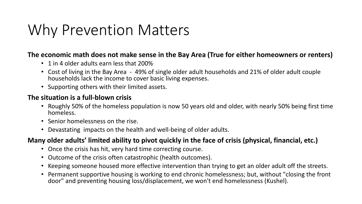### Why Prevention Matters

#### The economic math does not make sense in the Bay Area (True for either homeowners or renters)

- 1 in 4 older adults earn less that  $200\%$
- Cost of living in the Bay Area 49% of single older adult households and 21% of older adult couple households lack the income to cover basic living expenses.
- Supporting others with their limited assets.

#### **The situation is a full-blown crisis**

- Roughly 50% of the homeless population is now 50 years old and older, with nearly 50% being first time homeless.
- Senior homelessness on the rise.
- Devastating impacts on the health and well-being of older adults.

#### **Many older adults' limited ability to pivot quickly in the face of crisis (physical, financial, etc.)**

- Once the crisis has hit, very hard time correcting course.
- Outcome of the crisis often catastrophic (health outcomes).
- Keeping someone housed more effective intervention than trying to get an older adult off the streets.
- Permanent supportive housing is working to end chronic homelessness; but, without "closing the front door" and preventing housing loss/displacement, we won't end homelessness (Kushel).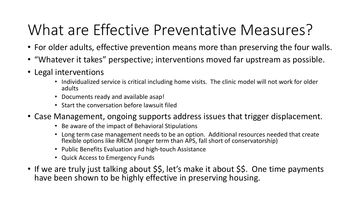# What are Effective Preventative Measures?

- For older adults, effective prevention means more than preserving the four walls.
- "Whatever it takes" perspective; interventions moved far upstream as possible.
- Legal interventions
	- Individualized service is critical including home visits. The clinic model will not work for older adults
	- Documents ready and available asap!
	- Start the conversation before lawsuit filed
- Case Management, ongoing supports address issues that trigger displacement.
	- Be aware of the impact of Behavioral Stipulations
	- Long term case management needs to be an option. Additional resources needed that create flexible options like RRCM (longer term than APS, fall short of conservatorship)
	- Public Benefits Evaluation and high-touch Assistance
	- Quick Access to Emergency Funds
- If we are truly just talking about \$\$, let's make it about \$\$. One time payments have been shown to be highly effective in preserving housing.